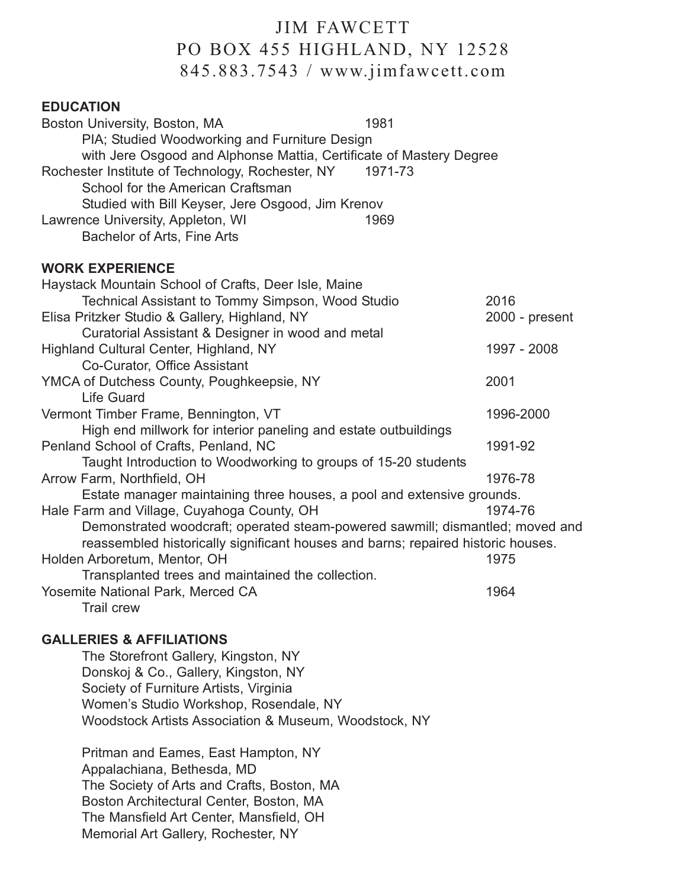## JIM FAWCETT PO BOX 455 HIGHLAND, NY 12528 845.883.7543 / www.jimfawcett.com

## **EDUCATION**

| Boston University, Boston, MA<br>PIA; Studied Woodworking and Furniture Design                                       | 1981    |                  |
|----------------------------------------------------------------------------------------------------------------------|---------|------------------|
| with Jere Osgood and Alphonse Mattia, Certificate of Mastery Degree                                                  |         |                  |
| Rochester Institute of Technology, Rochester, NY<br>School for the American Craftsman                                | 1971-73 |                  |
| Studied with Bill Keyser, Jere Osgood, Jim Krenov                                                                    |         |                  |
| Lawrence University, Appleton, WI<br>Bachelor of Arts, Fine Arts                                                     | 1969    |                  |
| <b>WORK EXPERIENCE</b>                                                                                               |         |                  |
| Haystack Mountain School of Crafts, Deer Isle, Maine                                                                 |         |                  |
| Technical Assistant to Tommy Simpson, Wood Studio                                                                    |         | 2016             |
| Elisa Pritzker Studio & Gallery, Highland, NY                                                                        |         | $2000 - present$ |
| Curatorial Assistant & Designer in wood and metal                                                                    |         |                  |
| Highland Cultural Center, Highland, NY                                                                               |         | 1997 - 2008      |
| Co-Curator, Office Assistant                                                                                         |         |                  |
| YMCA of Dutchess County, Poughkeepsie, NY                                                                            |         | 2001             |
| <b>Life Guard</b>                                                                                                    |         |                  |
| Vermont Timber Frame, Bennington, VT                                                                                 |         | 1996-2000        |
| High end millwork for interior paneling and estate outbuildings                                                      |         |                  |
| Penland School of Crafts, Penland, NC                                                                                |         | 1991-92          |
| Taught Introduction to Woodworking to groups of 15-20 students                                                       |         |                  |
| Arrow Farm, Northfield, OH                                                                                           |         | 1976-78          |
| Estate manager maintaining three houses, a pool and extensive grounds.<br>Hale Farm and Village, Cuyahoga County, OH |         | 1974-76          |
| Demonstrated woodcraft; operated steam-powered sawmill; dismantled; moved and                                        |         |                  |
| reassembled historically significant houses and barns; repaired historic houses.                                     |         |                  |
| Holden Arboretum, Mentor, OH                                                                                         |         | 1975             |
| Transplanted trees and maintained the collection.                                                                    |         |                  |
| Yosemite National Park, Merced CA                                                                                    |         | 1964             |
| Trail crew                                                                                                           |         |                  |

## **GALLERIES & AFFILIATIONS**

The Storefront Gallery, Kingston, NY Donskoj & Co., Gallery, Kingston, NY Society of Furniture Artists, Virginia Women's Studio Workshop, Rosendale, NY Woodstock Artists Association & Museum, Woodstock, NY

Pritman and Eames, East Hampton, NY Appalachiana, Bethesda, MD The Society of Arts and Crafts, Boston, MA Boston Architectural Center, Boston, MA The Mansfield Art Center, Mansfield, OH Memorial Art Gallery, Rochester, NY